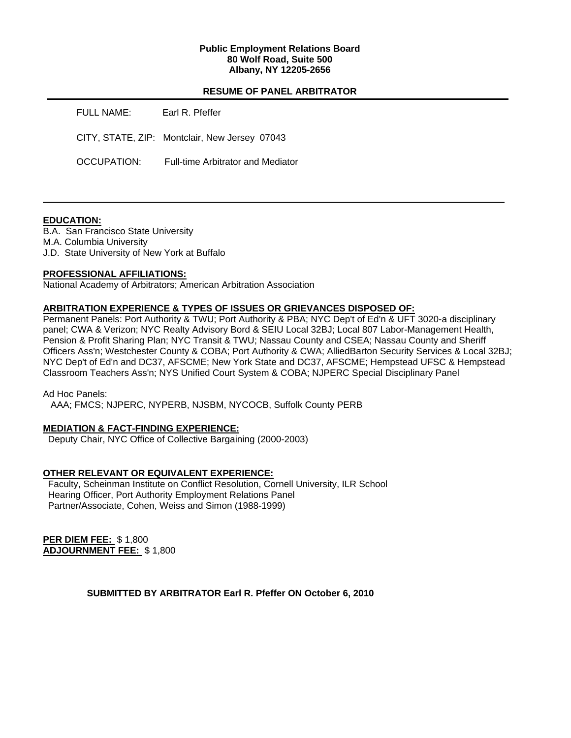## **Public Employment Relations Board 80 Wolf Road, Suite 500 Albany, NY 12205-2656**

# **RESUME OF PANEL ARBITRATOR**

| <b>FULL NAME:</b>  | Earl R. Pfeffer                               |
|--------------------|-----------------------------------------------|
|                    | CITY, STATE, ZIP: Montclair, New Jersey 07043 |
| <b>OCCUPATION:</b> | Full-time Arbitrator and Mediator             |

## **EDUCATION:**

B.A. San Francisco State University M.A. Columbia University J.D. State University of New York at Buffalo

# **PROFESSIONAL AFFILIATIONS:**

National Academy of Arbitrators; American Arbitration Association

# **ARBITRATION EXPERIENCE & TYPES OF ISSUES OR GRIEVANCES DISPOSED OF:**

Permanent Panels: Port Authority & TWU; Port Authority & PBA; NYC Dep't of Ed'n & UFT 3020-a disciplinary panel; CWA & Verizon; NYC Realty Advisory Bord & SEIU Local 32BJ; Local 807 Labor-Management Health, Pension & Profit Sharing Plan; NYC Transit & TWU; Nassau County and CSEA; Nassau County and Sheriff Officers Ass'n; Westchester County & COBA; Port Authority & CWA; AlliedBarton Security Services & Local 32BJ; NYC Dep't of Ed'n and DC37, AFSCME; New York State and DC37, AFSCME; Hempstead UFSC & Hempstead Classroom Teachers Ass'n; NYS Unified Court System & COBA; NJPERC Special Disciplinary Panel

Ad Hoc Panels:

AAA; FMCS; NJPERC, NYPERB, NJSBM, NYCOCB, Suffolk County PERB

## **MEDIATION & FACT-FINDING EXPERIENCE:**

Deputy Chair, NYC Office of Collective Bargaining (2000-2003)

## **OTHER RELEVANT OR EQUIVALENT EXPERIENCE:**

 Faculty, Scheinman Institute on Conflict Resolution, Cornell University, ILR School Hearing Officer, Port Authority Employment Relations Panel Partner/Associate, Cohen, Weiss and Simon (1988-1999)

**PER DIEM FEE:** \$ 1,800 **ADJOURNMENT FEE:** \$ 1,800

**SUBMITTED BY ARBITRATOR Earl R. Pfeffer ON October 6, 2010**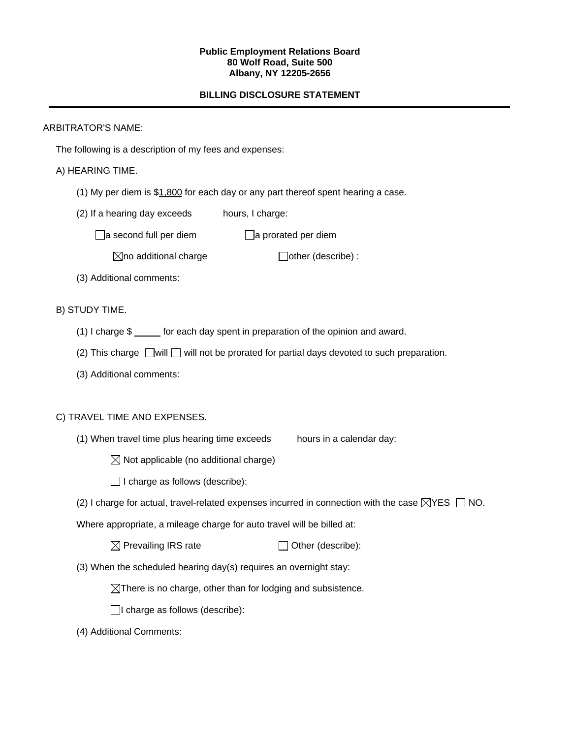#### **Public Employment Relations Board 80 Wolf Road, Suite 500 Albany, NY 12205-2656**

# **BILLING DISCLOSURE STATEMENT**

# ARBITRATOR'S NAME:

The following is a description of my fees and expenses:

# A) HEARING TIME.

- (1) My per diem is \$1,800 for each day or any part thereof spent hearing a case.
- (2) If a hearing day exceeds hours, I charge:

 $\Box$ a second full per diem  $\Box$ a prorated per diem

 $\boxtimes$ no additional charge  $\Box$ other (describe) :

(3) Additional comments:

# B) STUDY TIME.

- (1) I charge \$ for each day spent in preparation of the opinion and award.
- (2) This charge  $\Box$  will  $\Box$  will not be prorated for partial days devoted to such preparation.
- (3) Additional comments:

## C) TRAVEL TIME AND EXPENSES.

- (1) When travel time plus hearing time exceeds hours in a calendar day:
	- $\boxtimes$  Not applicable (no additional charge)
	- $\Box$  I charge as follows (describe):
- (2) I charge for actual, travel-related expenses incurred in connection with the case  $\boxtimes$ YES  $\Box$  NO.

Where appropriate, a mileage charge for auto travel will be billed at:

| $\boxtimes$ Prevailing IRS rate | $\Box$ Other (describe): |
|---------------------------------|--------------------------|
|---------------------------------|--------------------------|

(3) When the scheduled hearing day(s) requires an overnight stay:

 $\boxtimes$ There is no charge, other than for lodging and subsistence.

 $\Box$ I charge as follows (describe):

(4) Additional Comments: